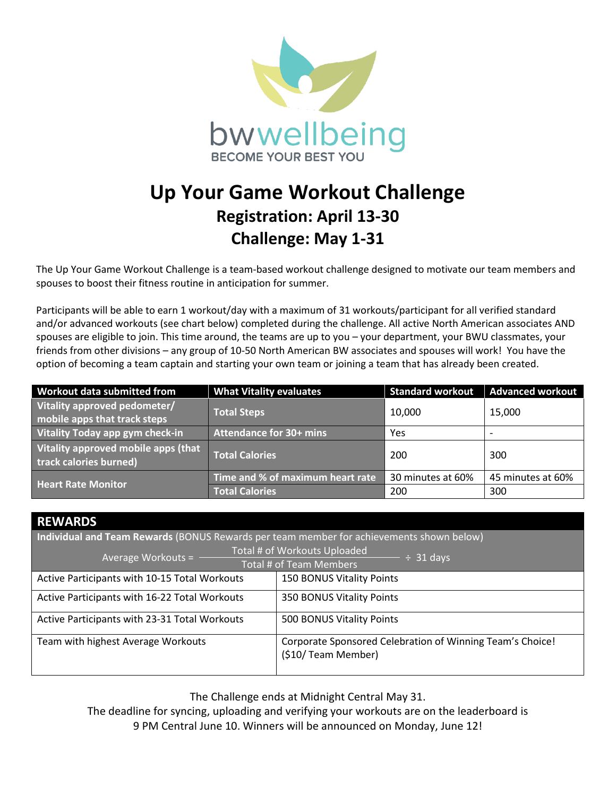

## **Up Your Game Workout Challenge Registration: April 13-30 Challenge: May 1-31**

The Up Your Game Workout Challenge is a team-based workout challenge designed to motivate our team members and spouses to boost their fitness routine in anticipation for summer.

Participants will be able to earn 1 workout/day with a maximum of 31 workouts/participant for all verified standard and/or advanced workouts (see chart below) completed during the challenge. All active North American associates AND spouses are eligible to join. This time around, the teams are up to you – your department, your BWU classmates, your friends from other divisions – any group of 10-50 North American BW associates and spouses will work! You have the option of becoming a team captain and starting your own team or joining a team that has already been created.

| Workout data submitted from                                   | <b>What Vitality evaluates</b>   | <b>Standard workout</b> | <b>Advanced workout</b>  |
|---------------------------------------------------------------|----------------------------------|-------------------------|--------------------------|
| Vitality approved pedometer/<br>mobile apps that track steps  | <b>Total Steps</b>               | 10,000                  | 15,000                   |
| Vitality Today app gym check-in                               | <b>Attendance for 30+ mins</b>   | Yes                     | $\overline{\phantom{0}}$ |
| Vitality approved mobile apps (that<br>track calories burned) | <b>Total Calories</b>            | 200                     | 300                      |
| <b>Heart Rate Monitor</b>                                     | Time and % of maximum heart rate | 30 minutes at 60%       | 45 minutes at 60%        |
|                                                               | <b>Total Calories</b>            | 200                     | 300                      |

## **REWARDS**

**Individual and Team Rewards** (BONUS Rewards per team member for achievements shown below)

|                                                                   | Total # of Workouts Uploaded                                                     |  |  |
|-------------------------------------------------------------------|----------------------------------------------------------------------------------|--|--|
| Average Workouts = -<br>$\div$ 31 days<br>Total # of Team Members |                                                                                  |  |  |
| Active Participants with 10-15 Total Workouts                     | <b>150 BONUS Vitality Points</b>                                                 |  |  |
| Active Participants with 16-22 Total Workouts                     | 350 BONUS Vitality Points                                                        |  |  |
| Active Participants with 23-31 Total Workouts                     | 500 BONUS Vitality Points                                                        |  |  |
| Team with highest Average Workouts                                | Corporate Sponsored Celebration of Winning Team's Choice!<br>(\$10/ Team Member) |  |  |

The Challenge ends at Midnight Central May 31.

The deadline for syncing, uploading and verifying your workouts are on the leaderboard is 9 PM Central June 10. Winners will be announced on Monday, June 12!